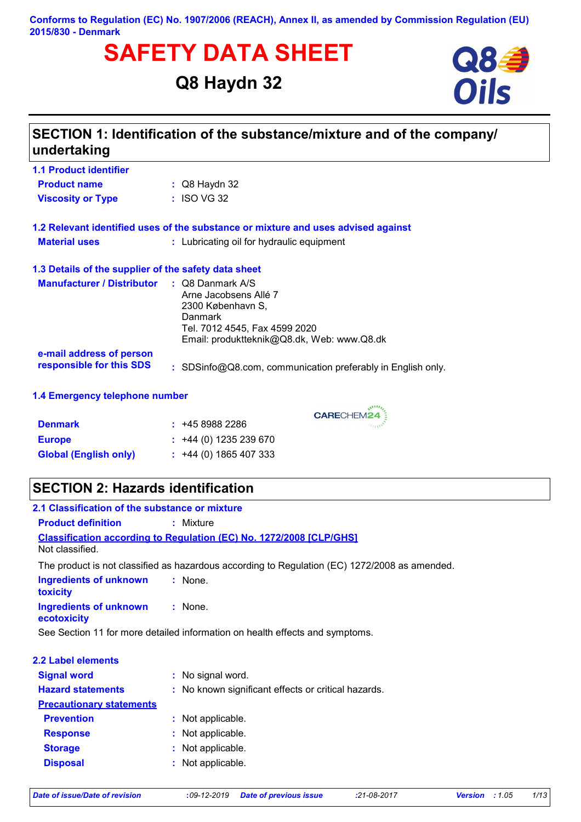### **Conforms to Regulation (EC) No. 1907/2006 (REACH), Annex II, as amended by Commission Regulation (EU) 2015/830 - Denmark**

# **SAFETY DATA SHEET**<br>
Q8 Haydn 32<br>
Oils

# **Q8 Haydn 32**



| $\therefore$ Q8 Haydn 32                                                                                                                                                                      |  |  |  |  |
|-----------------------------------------------------------------------------------------------------------------------------------------------------------------------------------------------|--|--|--|--|
| : ISO VG 32                                                                                                                                                                                   |  |  |  |  |
| 1.2 Relevant identified uses of the substance or mixture and uses advised against                                                                                                             |  |  |  |  |
| : Lubricating oil for hydraulic equipment                                                                                                                                                     |  |  |  |  |
| 1.3 Details of the supplier of the safety data sheet                                                                                                                                          |  |  |  |  |
| <b>Manufacturer / Distributor</b><br>: Q8 Danmark A/S<br>Arne Jacobsens Allé 7<br>2300 København S,<br>Danmark<br>Tel. 7012 4545, Fax 4599 2020<br>Email: produktteknik@Q8.dk, Web: www.Q8.dk |  |  |  |  |
|                                                                                                                                                                                               |  |  |  |  |
| responsible for this SDS<br>: SDSinfo@Q8.com, communication preferably in English only.                                                                                                       |  |  |  |  |
| 1.4 Emergency telephone number                                                                                                                                                                |  |  |  |  |
| <b>CARECHEM24</b>                                                                                                                                                                             |  |  |  |  |
| : 4589882286                                                                                                                                                                                  |  |  |  |  |
| $\div$ +44 (0) 1235 239 670                                                                                                                                                                   |  |  |  |  |
| <b>Global (English only)</b><br>$: +44(0)1865407333$                                                                                                                                          |  |  |  |  |
|                                                                                                                                                                                               |  |  |  |  |

| <b>Product definition</b>                    | $:$ Mixture                                                                                   |  |  |
|----------------------------------------------|-----------------------------------------------------------------------------------------------|--|--|
| Not classified.                              | <b>Classification according to Regulation (EC) No. 1272/2008 [CLP/GHS]</b>                    |  |  |
|                                              | The product is not classified as hazardous according to Regulation (EC) 1272/2008 as amended. |  |  |
| <b>Ingredients of unknown</b><br>toxicity    | : None.                                                                                       |  |  |
| <b>Ingredients of unknown</b><br>ecotoxicity | $:$ None.                                                                                     |  |  |
|                                              | See Section 11 for more detailed information on health effects and symptoms.                  |  |  |
|                                              |                                                                                               |  |  |
| <b>2.2 Label elements</b>                    |                                                                                               |  |  |
| <b>Signal word</b>                           | : No signal word.                                                                             |  |  |
| <b>Hazard statements</b>                     | : No known significant effects or critical hazards.                                           |  |  |
| <b>Precautionary statements</b>              |                                                                                               |  |  |
| <b>Prevention</b>                            | : Not applicable.                                                                             |  |  |
| <b>Response</b>                              | : Not applicable.                                                                             |  |  |
| <b>Storage</b>                               | : Not applicable.                                                                             |  |  |
| <b>Disposal</b>                              | : Not applicable.                                                                             |  |  |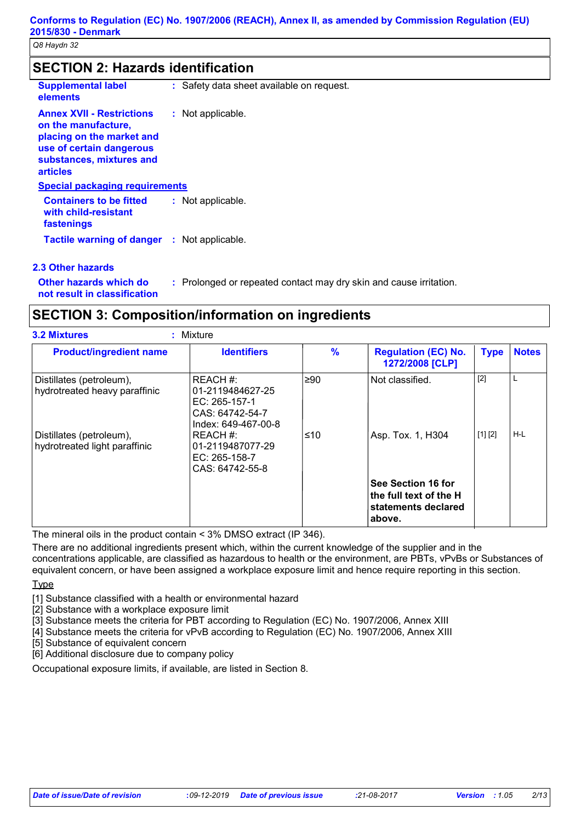# **SECTION 2: Hazards identification**

| <b>Supplemental label</b><br>elements                                                                                                                           | : Safety data sheet available on request. |
|-----------------------------------------------------------------------------------------------------------------------------------------------------------------|-------------------------------------------|
| <b>Annex XVII - Restrictions</b><br>on the manufacture,<br>placing on the market and<br>use of certain dangerous<br>substances, mixtures and<br><b>articles</b> | : Not applicable.                         |
| <b>Special packaging requirements</b>                                                                                                                           |                                           |
| <b>Containers to be fitted</b><br>with child-resistant<br>fastenings                                                                                            | : Not applicable.                         |
| <b>Tactile warning of danger : Not applicable.</b>                                                                                                              |                                           |
| 2.2 Other hazarde                                                                                                                                               |                                           |

### **2.3 Other hazards**

**Other hazards which do :** : Prolonged or repeated contact may dry skin and cause irritation.

**not result in classification**

# **SECTION 3: Composition/information on ingredients**

| <b>Product/ingredient name</b>                            | $\frac{9}{6}$<br><b>Identifiers</b>                                                     |      | <b>Regulation (EC) No.</b><br>1272/2008 [CLP]                                 | <b>Type</b> | <b>Notes</b> |  |
|-----------------------------------------------------------|-----------------------------------------------------------------------------------------|------|-------------------------------------------------------------------------------|-------------|--------------|--|
| Distillates (petroleum),<br>hydrotreated heavy paraffinic | REACH #:<br>01-2119484627-25<br>EC: 265-157-1<br>CAS: 64742-54-7<br>Index: 649-467-00-8 | l≥90 | Not classified.                                                               | $[2]$       | L            |  |
| Distillates (petroleum),<br>hydrotreated light paraffinic | REACH #:<br>01-2119487077-29<br>$EC: 265-158-7$<br>CAS: 64742-55-8                      | ≤10  | Asp. Tox. 1, H304                                                             | [1] [2]     | $H-L$        |  |
|                                                           |                                                                                         |      | See Section 16 for<br>the full text of the H<br>statements declared<br>above. |             |              |  |

The mineral oils in the product contain < 3% DMSO extract (IP 346).

There are no additional ingredients present which, within the current knowledge of the supplier and in the concentrations applicable, are classified as hazardous to health or the environment, are PBTs, vPvBs or Substances of equivalent concern, or have been assigned a workplace exposure limit and hence require reporting in this section.

**Type** 

[1] Substance classified with a health or environmental hazard

[2] Substance with a workplace exposure limit

[3] Substance meets the criteria for PBT according to Regulation (EC) No. 1907/2006, Annex XIII

[4] Substance meets the criteria for vPvB according to Regulation (EC) No. 1907/2006, Annex XIII

[5] Substance of equivalent concern

[6] Additional disclosure due to company policy

Occupational exposure limits, if available, are listed in Section 8.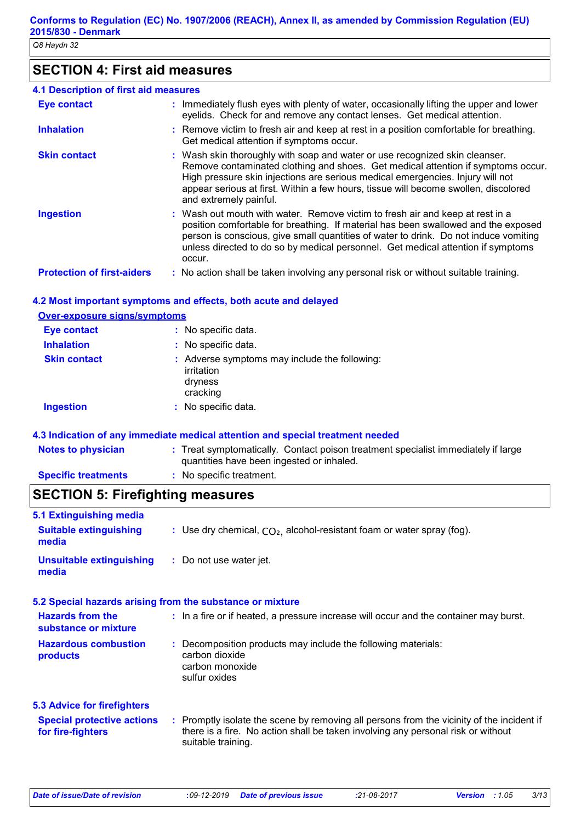# **SECTION 4: First aid measures**

| 4.1 Description of first aid measures |                                                                                                                                                                                                                                                                                                                                                                    |
|---------------------------------------|--------------------------------------------------------------------------------------------------------------------------------------------------------------------------------------------------------------------------------------------------------------------------------------------------------------------------------------------------------------------|
| <b>Eye contact</b>                    | : Immediately flush eyes with plenty of water, occasionally lifting the upper and lower<br>eyelids. Check for and remove any contact lenses. Get medical attention.                                                                                                                                                                                                |
| <b>Inhalation</b>                     | : Remove victim to fresh air and keep at rest in a position comfortable for breathing.<br>Get medical attention if symptoms occur.                                                                                                                                                                                                                                 |
| <b>Skin contact</b>                   | : Wash skin thoroughly with soap and water or use recognized skin cleanser.<br>Remove contaminated clothing and shoes. Get medical attention if symptoms occur.<br>High pressure skin injections are serious medical emergencies. Injury will not<br>appear serious at first. Within a few hours, tissue will become swollen, discolored<br>and extremely painful. |
| <b>Ingestion</b>                      | : Wash out mouth with water. Remove victim to fresh air and keep at rest in a<br>position comfortable for breathing. If material has been swallowed and the exposed<br>person is conscious, give small quantities of water to drink. Do not induce vomiting<br>unless directed to do so by medical personnel. Get medical attention if symptoms<br>occur.          |
| <b>Protection of first-aiders</b>     | : No action shall be taken involving any personal risk or without suitable training.                                                                                                                                                                                                                                                                               |

### **4.2 Most important symptoms and effects, both acute and delayed**

### **Over-exposure signs/symptoms Skin contact Ingestion Inhalation :** No specific data. No specific data. **:** Adverse symptoms may include the following: **:** irritation dryness cracking **Eye contact :** No specific data.

### **4.3 Indication of any immediate medical attention and special treatment needed**

| <b>Notes to physician</b>  | : Treat symptomatically. Contact poison treatment specialist immediately if large<br>quantities have been ingested or inhaled. |
|----------------------------|--------------------------------------------------------------------------------------------------------------------------------|
| <b>Specific treatments</b> | $:$ No specific treatment.                                                                                                     |

# **SECTION 5: Firefighting measures**

| 5.1 Extinguishing media                                |                                                                                                                                                                                                     |  |  |
|--------------------------------------------------------|-----------------------------------------------------------------------------------------------------------------------------------------------------------------------------------------------------|--|--|
| <b>Suitable extinguishing</b><br>media                 | : Use dry chemical, $CO2$ , alcohol-resistant foam or water spray (fog).                                                                                                                            |  |  |
| <b>Unsuitable extinguishing</b><br>media               | : Do not use water jet.                                                                                                                                                                             |  |  |
|                                                        | 5.2 Special hazards arising from the substance or mixture                                                                                                                                           |  |  |
| <b>Hazards from the</b><br>substance or mixture        | : In a fire or if heated, a pressure increase will occur and the container may burst.                                                                                                               |  |  |
| <b>Hazardous combustion</b><br>products                | : Decomposition products may include the following materials:<br>carbon dioxide<br>carbon monoxide<br>sulfur oxides                                                                                 |  |  |
| <b>5.3 Advice for firefighters</b>                     |                                                                                                                                                                                                     |  |  |
| <b>Special protective actions</b><br>for fire-fighters | : Promptly isolate the scene by removing all persons from the vicinity of the incident if<br>there is a fire. No action shall be taken involving any personal risk or without<br>suitable training. |  |  |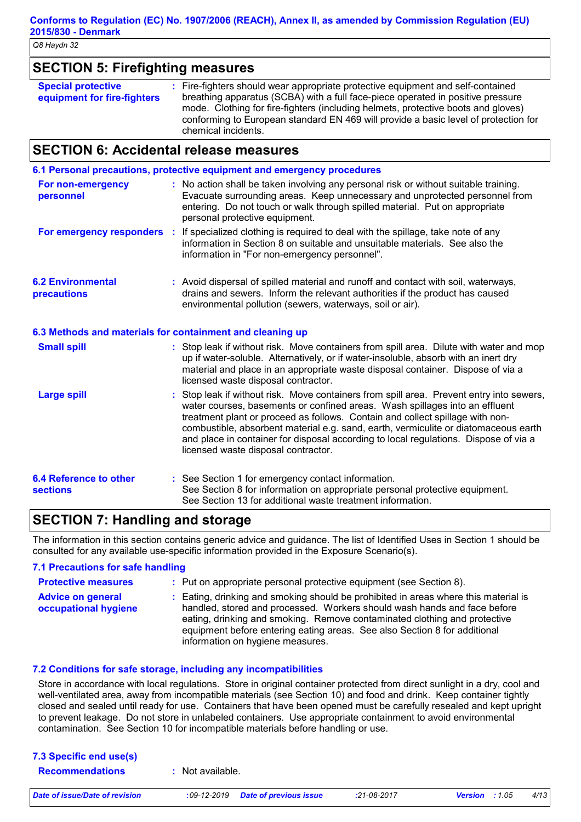| <b>SECTION 5: Firefighting measures</b>                  |                                                                                                                                                                                                                                                                                                                                                                       |  |  |
|----------------------------------------------------------|-----------------------------------------------------------------------------------------------------------------------------------------------------------------------------------------------------------------------------------------------------------------------------------------------------------------------------------------------------------------------|--|--|
| <b>Special protective</b><br>equipment for fire-fighters | : Fire-fighters should wear appropriate protective equipment and self-contained<br>breathing apparatus (SCBA) with a full face-piece operated in positive pressure<br>mode. Clothing for fire-fighters (including helmets, protective boots and gloves)<br>conforming to European standard EN 469 will provide a basic level of protection for<br>chemical incidents. |  |  |

# **SECTION 6: Accidental release measures**

|                                           | 6.1 Personal precautions, protective equipment and emergency procedures                                                                                                                                                                                                                                                                                                                                                                                                        |  |
|-------------------------------------------|--------------------------------------------------------------------------------------------------------------------------------------------------------------------------------------------------------------------------------------------------------------------------------------------------------------------------------------------------------------------------------------------------------------------------------------------------------------------------------|--|
| For non-emergency<br>personnel            | : No action shall be taken involving any personal risk or without suitable training.<br>Evacuate surrounding areas. Keep unnecessary and unprotected personnel from<br>entering. Do not touch or walk through spilled material. Put on appropriate<br>personal protective equipment.                                                                                                                                                                                           |  |
|                                           | For emergency responders : If specialized clothing is required to deal with the spillage, take note of any<br>information in Section 8 on suitable and unsuitable materials. See also the<br>information in "For non-emergency personnel".                                                                                                                                                                                                                                     |  |
| <b>6.2 Environmental</b><br>precautions   | : Avoid dispersal of spilled material and runoff and contact with soil, waterways,<br>drains and sewers. Inform the relevant authorities if the product has caused<br>environmental pollution (sewers, waterways, soil or air).                                                                                                                                                                                                                                                |  |
|                                           | 6.3 Methods and materials for containment and cleaning up                                                                                                                                                                                                                                                                                                                                                                                                                      |  |
| <b>Small spill</b>                        | : Stop leak if without risk. Move containers from spill area. Dilute with water and mop<br>up if water-soluble. Alternatively, or if water-insoluble, absorb with an inert dry<br>material and place in an appropriate waste disposal container. Dispose of via a<br>licensed waste disposal contractor.                                                                                                                                                                       |  |
| <b>Large spill</b>                        | : Stop leak if without risk. Move containers from spill area. Prevent entry into sewers,<br>water courses, basements or confined areas. Wash spillages into an effluent<br>treatment plant or proceed as follows. Contain and collect spillage with non-<br>combustible, absorbent material e.g. sand, earth, vermiculite or diatomaceous earth<br>and place in container for disposal according to local regulations. Dispose of via a<br>licensed waste disposal contractor. |  |
| 6.4 Reference to other<br><b>sections</b> | : See Section 1 for emergency contact information.<br>See Section 8 for information on appropriate personal protective equipment.<br>See Section 13 for additional waste treatment information.                                                                                                                                                                                                                                                                                |  |

# **SECTION 7: Handling and storage**

The information in this section contains generic advice and guidance. The list of Identified Uses in Section 1 should be consulted for any available use-specific information provided in the Exposure Scenario(s).

### **7.1 Precautions for safe handling Protective measures : Advice on general occupational hygiene :** Eating, drinking and smoking should be prohibited in areas where this material is : Put on appropriate personal protective equipment (see Section 8). handled, stored and processed. Workers should wash hands and face before eating, drinking and smoking. Remove contaminated clothing and protective equipment before entering eating areas. See also Section 8 for additional information on hygiene measures.

### **7.2 Conditions for safe storage, including any incompatibilities**

Store in accordance with local regulations. Store in original container protected from direct sunlight in a dry, cool and well-ventilated area, away from incompatible materials (see Section 10) and food and drink. Keep container tightly closed and sealed until ready for use. Containers that have been opened must be carefully resealed and kept upright to prevent leakage. Do not store in unlabeled containers. Use appropriate containment to avoid environmental contamination. See Section 10 for incompatible materials before handling or use.

| 7.3 Specific end use(s) |                  |  |
|-------------------------|------------------|--|
| <b>Recommendations</b>  | : Not available. |  |
|                         |                  |  |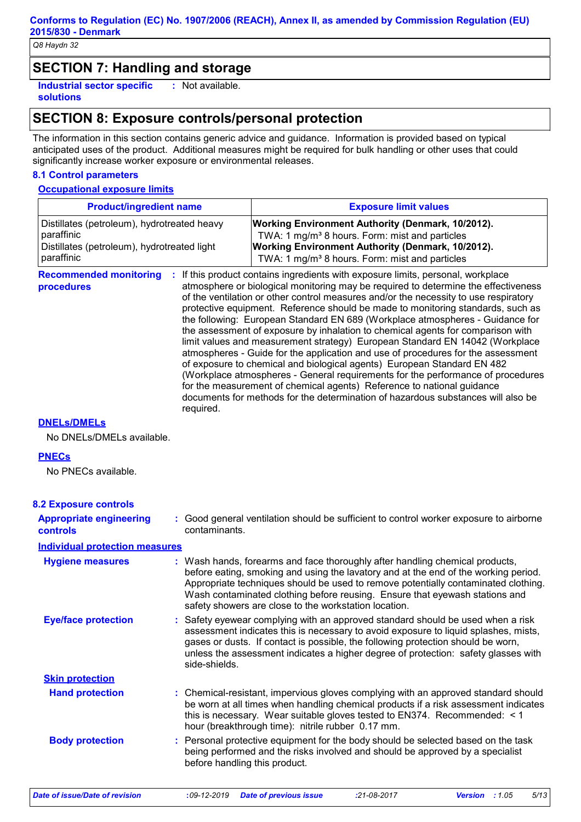# **SECTION 7: Handling and storage**

**Industrial sector specific : solutions** : Not available.

# **SECTION 8: Exposure controls/personal protection**

The information in this section contains generic advice and guidance. Information is provided based on typical anticipated uses of the product. Additional measures might be required for bulk handling or other uses that could significantly increase worker exposure or environmental releases.

### **8.1 Control parameters**

### **Occupational exposure limits**

| <b>Product/ingredient name</b>                                                                                         |                               | <b>Exposure limit values</b>                                                                                                                                                                                                                                                                                                                                                                                                                                                                                                                                                                                                                                                                                                                                                                                                                                                                                                                                                                                        |  |
|------------------------------------------------------------------------------------------------------------------------|-------------------------------|---------------------------------------------------------------------------------------------------------------------------------------------------------------------------------------------------------------------------------------------------------------------------------------------------------------------------------------------------------------------------------------------------------------------------------------------------------------------------------------------------------------------------------------------------------------------------------------------------------------------------------------------------------------------------------------------------------------------------------------------------------------------------------------------------------------------------------------------------------------------------------------------------------------------------------------------------------------------------------------------------------------------|--|
| Distillates (petroleum), hydrotreated heavy<br>paraffinic<br>Distillates (petroleum), hydrotreated light<br>paraffinic |                               | Working Environment Authority (Denmark, 10/2012).<br>TWA: 1 mg/m <sup>3</sup> 8 hours. Form: mist and particles<br>Working Environment Authority (Denmark, 10/2012).<br>TWA: 1 mg/m <sup>3</sup> 8 hours. Form: mist and particles                                                                                                                                                                                                                                                                                                                                                                                                                                                                                                                                                                                                                                                                                                                                                                                  |  |
| <b>Recommended monitoring</b><br>procedures                                                                            | required.                     | If this product contains ingredients with exposure limits, personal, workplace<br>atmosphere or biological monitoring may be required to determine the effectiveness<br>of the ventilation or other control measures and/or the necessity to use respiratory<br>protective equipment. Reference should be made to monitoring standards, such as<br>the following: European Standard EN 689 (Workplace atmospheres - Guidance for<br>the assessment of exposure by inhalation to chemical agents for comparison with<br>limit values and measurement strategy) European Standard EN 14042 (Workplace<br>atmospheres - Guide for the application and use of procedures for the assessment<br>of exposure to chemical and biological agents) European Standard EN 482<br>(Workplace atmospheres - General requirements for the performance of procedures<br>for the measurement of chemical agents) Reference to national guidance<br>documents for methods for the determination of hazardous substances will also be |  |
| <b>DNELS/DMELS</b>                                                                                                     |                               |                                                                                                                                                                                                                                                                                                                                                                                                                                                                                                                                                                                                                                                                                                                                                                                                                                                                                                                                                                                                                     |  |
| No DNELs/DMELs available.                                                                                              |                               |                                                                                                                                                                                                                                                                                                                                                                                                                                                                                                                                                                                                                                                                                                                                                                                                                                                                                                                                                                                                                     |  |
| <b>PNECs</b><br>No PNECs available.                                                                                    |                               |                                                                                                                                                                                                                                                                                                                                                                                                                                                                                                                                                                                                                                                                                                                                                                                                                                                                                                                                                                                                                     |  |
| <b>8.2 Exposure controls</b>                                                                                           |                               |                                                                                                                                                                                                                                                                                                                                                                                                                                                                                                                                                                                                                                                                                                                                                                                                                                                                                                                                                                                                                     |  |
| <b>Appropriate engineering</b><br>controls                                                                             | contaminants.                 | : Good general ventilation should be sufficient to control worker exposure to airborne                                                                                                                                                                                                                                                                                                                                                                                                                                                                                                                                                                                                                                                                                                                                                                                                                                                                                                                              |  |
| <b>Individual protection measures</b>                                                                                  |                               |                                                                                                                                                                                                                                                                                                                                                                                                                                                                                                                                                                                                                                                                                                                                                                                                                                                                                                                                                                                                                     |  |
| <b>Hygiene measures</b>                                                                                                |                               | : Wash hands, forearms and face thoroughly after handling chemical products,<br>before eating, smoking and using the lavatory and at the end of the working period.<br>Appropriate techniques should be used to remove potentially contaminated clothing.<br>Wash contaminated clothing before reusing. Ensure that eyewash stations and<br>safety showers are close to the workstation location.                                                                                                                                                                                                                                                                                                                                                                                                                                                                                                                                                                                                                   |  |
| <b>Eye/face protection</b>                                                                                             | side-shields.                 | : Safety eyewear complying with an approved standard should be used when a risk<br>assessment indicates this is necessary to avoid exposure to liquid splashes, mists,<br>gases or dusts. If contact is possible, the following protection should be worn,<br>unless the assessment indicates a higher degree of protection: safety glasses with                                                                                                                                                                                                                                                                                                                                                                                                                                                                                                                                                                                                                                                                    |  |
| <b>Skin protection</b>                                                                                                 |                               |                                                                                                                                                                                                                                                                                                                                                                                                                                                                                                                                                                                                                                                                                                                                                                                                                                                                                                                                                                                                                     |  |
| <b>Hand protection</b>                                                                                                 |                               | : Chemical-resistant, impervious gloves complying with an approved standard should<br>be worn at all times when handling chemical products if a risk assessment indicates<br>this is necessary. Wear suitable gloves tested to EN374. Recommended: $\leq 1$<br>hour (breakthrough time): nitrile rubber 0.17 mm.                                                                                                                                                                                                                                                                                                                                                                                                                                                                                                                                                                                                                                                                                                    |  |
| <b>Body protection</b>                                                                                                 | before handling this product. | : Personal protective equipment for the body should be selected based on the task<br>being performed and the risks involved and should be approved by a specialist                                                                                                                                                                                                                                                                                                                                                                                                                                                                                                                                                                                                                                                                                                                                                                                                                                                  |  |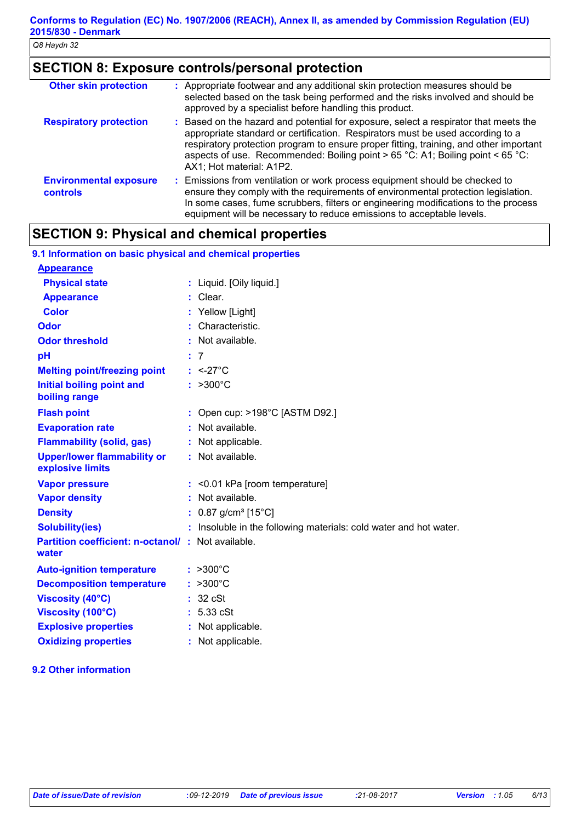# **SECTION 8: Exposure controls/personal protection**

| <b>Other skin protection</b>                     | : Appropriate footwear and any additional skin protection measures should be<br>selected based on the task being performed and the risks involved and should be<br>approved by a specialist before handling this product.                                                                                                                                                      |
|--------------------------------------------------|--------------------------------------------------------------------------------------------------------------------------------------------------------------------------------------------------------------------------------------------------------------------------------------------------------------------------------------------------------------------------------|
| <b>Respiratory protection</b>                    | : Based on the hazard and potential for exposure, select a respirator that meets the<br>appropriate standard or certification. Respirators must be used according to a<br>respiratory protection program to ensure proper fitting, training, and other important<br>aspects of use. Recommended: Boiling point > 65 °C: A1; Boiling point < 65 °C:<br>AX1; Hot material: A1P2. |
| <b>Environmental exposure</b><br><b>controls</b> | : Emissions from ventilation or work process equipment should be checked to<br>ensure they comply with the requirements of environmental protection legislation.<br>In some cases, fume scrubbers, filters or engineering modifications to the process<br>equipment will be necessary to reduce emissions to acceptable levels.                                                |

# **SECTION 9: Physical and chemical properties**

| 9.1 Information on basic physical and chemical properties         |                                                                   |
|-------------------------------------------------------------------|-------------------------------------------------------------------|
| <b>Appearance</b>                                                 |                                                                   |
| <b>Physical state</b>                                             | : Liquid. [Oily liquid.]                                          |
| <b>Appearance</b>                                                 | : Clear.                                                          |
| <b>Color</b>                                                      | : Yellow [Light]                                                  |
| Odor                                                              | : Characteristic.                                                 |
| <b>Odor threshold</b>                                             | : Not available.                                                  |
| pH                                                                | : 7                                                               |
| <b>Melting point/freezing point</b>                               | $: <27^{\circ}$ C                                                 |
| <b>Initial boiling point and</b><br>boiling range                 | $: >300^{\circ}C$                                                 |
| <b>Flash point</b>                                                | : Open cup: $>198^{\circ}$ C [ASTM D92.]                          |
| <b>Evaporation rate</b>                                           | : Not available.                                                  |
| <b>Flammability (solid, gas)</b>                                  | : Not applicable.                                                 |
| <b>Upper/lower flammability or</b><br>explosive limits            | : Not available.                                                  |
| <b>Vapor pressure</b>                                             | $:$ <0.01 kPa [room temperature]                                  |
| <b>Vapor density</b>                                              | : Not available.                                                  |
| <b>Density</b>                                                    | : $0.87$ g/cm <sup>3</sup> [15°C]                                 |
| <b>Solubility(ies)</b>                                            | : Insoluble in the following materials: cold water and hot water. |
| <b>Partition coefficient: n-octanol/: Not available.</b><br>water |                                                                   |
| <b>Auto-ignition temperature</b>                                  | $: >300^{\circ}C$                                                 |
| <b>Decomposition temperature</b>                                  | $: >300^{\circ}$ C                                                |
| <b>Viscosity (40°C)</b>                                           | 32 cSt                                                            |
| Viscosity (100°C)                                                 | : 5.33 cSt                                                        |
| <b>Explosive properties</b>                                       | : Not applicable.                                                 |
| <b>Oxidizing properties</b>                                       | : Not applicable.                                                 |

### **9.2 Other information**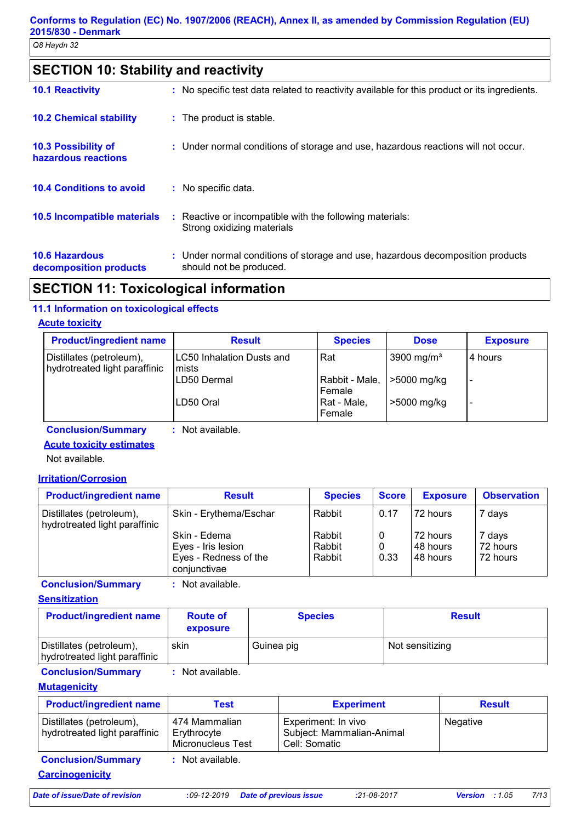# **SECTION 10: Stability and reactivity**

| <b>10.1 Reactivity</b>                            | : No specific test data related to reactivity available for this product or its ingredients.              |
|---------------------------------------------------|-----------------------------------------------------------------------------------------------------------|
| <b>10.2 Chemical stability</b>                    | : The product is stable.                                                                                  |
| <b>10.3 Possibility of</b><br>hazardous reactions | : Under normal conditions of storage and use, hazardous reactions will not occur.                         |
| <b>10.4 Conditions to avoid</b>                   | : No specific data.                                                                                       |
| 10.5 Incompatible materials                       | : Reactive or incompatible with the following materials:<br>Strong oxidizing materials                    |
| <b>10.6 Hazardous</b><br>decomposition products   | : Under normal conditions of storage and use, hazardous decomposition products<br>should not be produced. |

# **SECTION 11: Toxicological information**

## **11.1 Information on toxicological effects**

### **Acute toxicity**

| <b>Product/ingredient name</b>                            | <b>Result</b>                      | <b>Species</b>           | <b>Dose</b>            | <b>Exposure</b> |
|-----------------------------------------------------------|------------------------------------|--------------------------|------------------------|-----------------|
| Distillates (petroleum),<br>hydrotreated light paraffinic | LC50 Inhalation Dusts and<br>mists | Rat                      | 3900 mg/m <sup>3</sup> | 4 hours         |
|                                                           | LD50 Dermal                        | Rabbit - Male,<br>Female | >5000 mg/kg            |                 |
|                                                           | ILD50 Oral                         | Rat - Male,<br>Female    | >5000 mg/kg            |                 |

**Conclusion/Summary :** Not available.

**Acute toxicity estimates**

Not available.

### **Irritation/Corrosion**

| <b>Product/ingredient name</b>                            | <b>Result</b>          | <b>Species</b> | <b>Score</b> | <b>Exposure</b> | <b>Observation</b> |
|-----------------------------------------------------------|------------------------|----------------|--------------|-----------------|--------------------|
| Distillates (petroleum),<br>hydrotreated light paraffinic | Skin - Erythema/Eschar | Rabbit         | 0.17         | 72 hours        | 7 days             |
|                                                           | Skin - Edema           | Rabbit         |              | 72 hours        | 7 days             |
|                                                           | Eyes - Iris lesion     | Rabbit         | 0            | I48 hours       | 72 hours           |
|                                                           | Eyes - Redness of the  | Rabbit         | 0.33         | I48 hours       | 72 hours           |
|                                                           | conjunctivae           |                |              |                 |                    |

**Conclusion/Summary :** Not available.

**Sensitization**

| <b>Product/ingredient name</b>                            | <b>Route of</b><br>exposure | <b>Species</b> | <b>Result</b>   |
|-----------------------------------------------------------|-----------------------------|----------------|-----------------|
| Distillates (petroleum),<br>hydrotreated light paraffinic | skin                        | Guinea pig     | Not sensitizing |

**Conclusion/Summary :** Not available.

### **Mutagenicity**

| <b>Product/ingredient name</b>                            | Test                                                     | <b>Experiment</b>                                                 | <b>Result</b> |
|-----------------------------------------------------------|----------------------------------------------------------|-------------------------------------------------------------------|---------------|
| Distillates (petroleum),<br>hydrotreated light paraffinic | 474 Mammalian<br>Erythrocyte<br><b>Micronucleus Test</b> | Experiment: In vivo<br>Subject: Mammalian-Animal<br>Cell: Somatic | Negative      |
| <b>Conclusion/Summary</b><br><b>Carcinogenicity</b>       | : Not available.                                         |                                                                   |               |

*Date of issue/Date of revision* **:***09-12-2019 Date of previous issue :21-08-2017 Version : 1.05 7/13*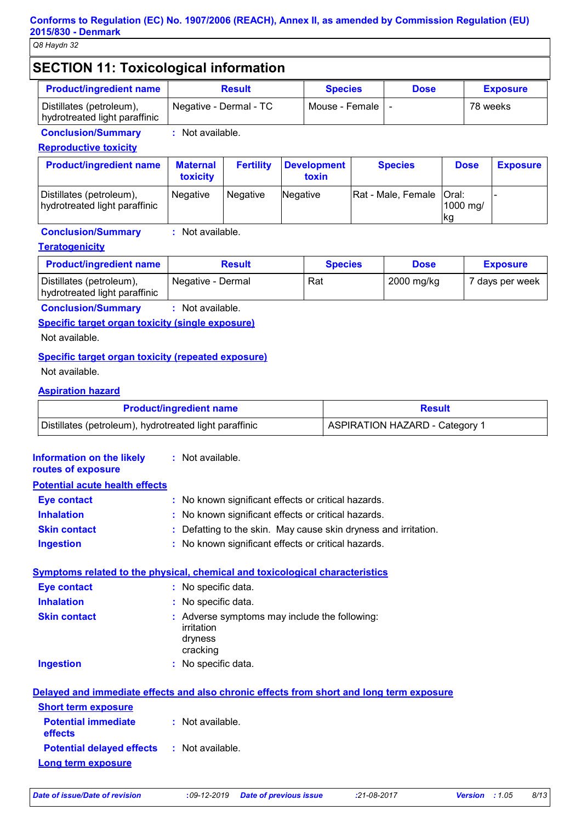# **SECTION 11: Toxicological information**

| <b>Product/ingredient name</b>                            | <b>Result</b>          | <b>Species</b>   | <b>Dose</b> | <b>Exposure</b> |
|-----------------------------------------------------------|------------------------|------------------|-------------|-----------------|
| Distillates (petroleum),<br>hydrotreated light paraffinic | Negative - Dermal - TC | Mouse - Female I |             | 78 weeks        |

**Conclusion/Summary :** Not available.

### **Reproductive toxicity**

| <b>Product/ingredient name</b>                            | <b>Maternal</b><br>toxicity | <b>Fertility</b> | Development<br>toxin | <b>Species</b>             | <b>Dose</b>     | <b>Exposure</b> |
|-----------------------------------------------------------|-----------------------------|------------------|----------------------|----------------------------|-----------------|-----------------|
| Distillates (petroleum),<br>hydrotreated light paraffinic | <b>Negative</b>             | Negative         | Negative             | Rat - Male, Female   Oral: | 1000 ma/<br>∣kg |                 |

### **Conclusion/Summary :** Not available.

### **Teratogenicity**

| <b>Product/ingredient name</b>                            | <b>Result</b>     | <b>Species</b> | <b>Dose</b> | <b>Exposure</b> |
|-----------------------------------------------------------|-------------------|----------------|-------------|-----------------|
| Distillates (petroleum),<br>hydrotreated light paraffinic | Negative - Dermal | Rat            | 2000 mg/kg  | 7 days per week |

### **Conclusion/Summary :** Not available.

### **Specific target organ toxicity (single exposure)**

Not available.

### **Specific target organ toxicity (repeated exposure)**

Not available.

### **Aspiration hazard**

| <b>Product/ingredient name</b>                         | <b>Result</b>                         |  |  |
|--------------------------------------------------------|---------------------------------------|--|--|
| Distillates (petroleum), hydrotreated light paraffinic | <b>ASPIRATION HAZARD - Category 1</b> |  |  |

| <b>Information on the likely</b><br>routes of exposure | : Not available.                                                                         |
|--------------------------------------------------------|------------------------------------------------------------------------------------------|
| <b>Potential acute health effects</b>                  |                                                                                          |
| <b>Eye contact</b>                                     | : No known significant effects or critical hazards.                                      |
| <b>Inhalation</b>                                      | : No known significant effects or critical hazards.                                      |
| <b>Skin contact</b>                                    | Defatting to the skin. May cause skin dryness and irritation.                            |
| <b>Ingestion</b>                                       | : No known significant effects or critical hazards.                                      |
|                                                        | <b>Symptoms related to the physical, chemical and toxicological characteristics</b>      |
| <b>Eye contact</b>                                     | : No specific data.                                                                      |
| <b>Inhalation</b>                                      | : No specific data.                                                                      |
| <b>Skin contact</b>                                    | : Adverse symptoms may include the following:<br>irritation<br>dryness<br>cracking       |
| <b>Ingestion</b>                                       | : No specific data.                                                                      |
|                                                        | Delayed and immediate effects and also chronic effects from short and long term exposure |
| <b>Short term exposure</b>                             |                                                                                          |
| <b>Potential immediate</b><br>effects                  | : Not available.                                                                         |
| <b>Potential delayed effects : Not available.</b>      |                                                                                          |
| <b>Long term exposure</b>                              |                                                                                          |

*Date of issue/Date of revision* **:***09-12-2019 Date of previous issue :21-08-2017 Version : 1.05 8/13*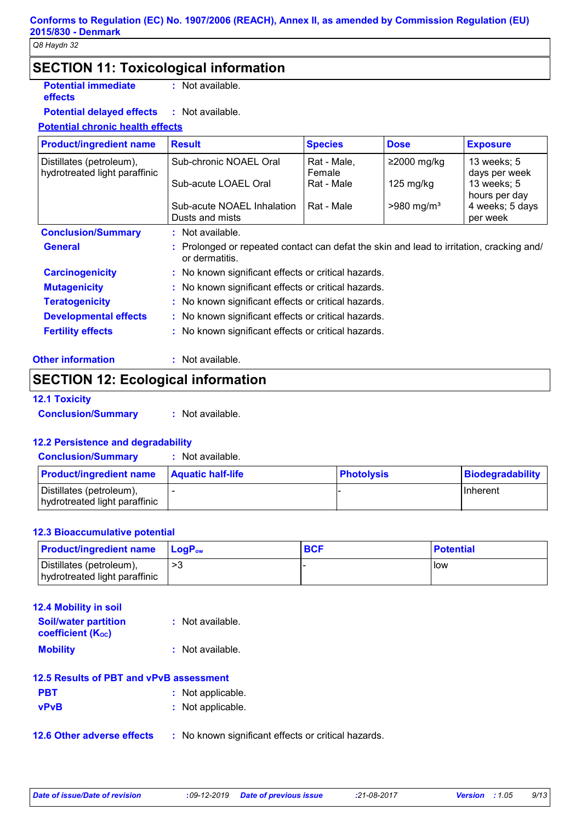# **SECTION 11: Toxicological information**

**Potential immediate effects**

**:** Not available.

**Potential delayed effects :** : Not available.

### **Potential chronic health effects**

| <b>Product/ingredient name</b>                            | <b>Result</b>                                       | <b>Species</b>                                                                           | <b>Dose</b>              | <b>Exposure</b>              |  |  |  |
|-----------------------------------------------------------|-----------------------------------------------------|------------------------------------------------------------------------------------------|--------------------------|------------------------------|--|--|--|
| Distillates (petroleum),<br>hydrotreated light paraffinic | Sub-chronic NOAEL Oral                              | Rat - Male,<br>Female                                                                    | $≥2000$ mg/kg            | 13 weeks; 5<br>days per week |  |  |  |
|                                                           | Sub-acute LOAEL Oral                                | Rat - Male                                                                               | 125 mg/kg                | 13 weeks; 5<br>hours per day |  |  |  |
|                                                           | Sub-acute NOAEL Inhalation<br>Dusts and mists       | Rat - Male                                                                               | $>980$ mg/m <sup>3</sup> | 4 weeks; 5 days<br>per week  |  |  |  |
| <b>Conclusion/Summary</b>                                 | : Not available.                                    |                                                                                          |                          |                              |  |  |  |
| <b>General</b>                                            | or dermatitis.                                      | : Prolonged or repeated contact can defat the skin and lead to irritation, cracking and/ |                          |                              |  |  |  |
| <b>Carcinogenicity</b>                                    | : No known significant effects or critical hazards. |                                                                                          |                          |                              |  |  |  |
| <b>Mutagenicity</b>                                       |                                                     | : No known significant effects or critical hazards.                                      |                          |                              |  |  |  |
| <b>Teratogenicity</b>                                     | : No known significant effects or critical hazards. |                                                                                          |                          |                              |  |  |  |
| <b>Developmental effects</b>                              | : No known significant effects or critical hazards. |                                                                                          |                          |                              |  |  |  |
| <b>Fertility effects</b>                                  | : No known significant effects or critical hazards. |                                                                                          |                          |                              |  |  |  |
| )ther information.                                        | : Not available                                     |                                                                                          |                          |                              |  |  |  |

| <b>Other information</b> |  | $:$ Not |
|--------------------------|--|---------|
|--------------------------|--|---------|

# **SECTION 12: Ecological information**

### **12.1 Toxicity**

**Conclusion/Summary :** Not available.

### **12.2 Persistence and degradability**

**Conclusion/Summary :** Not available.

| <b>Product/ingredient name</b>                            | <b>Aquatic half-life</b> | <b>Photolysis</b> | Biodegradability |
|-----------------------------------------------------------|--------------------------|-------------------|------------------|
| Distillates (petroleum),<br>hydrotreated light paraffinic |                          |                   | <b>IInherent</b> |

### **12.3 Bioaccumulative potential**

| <b>Product/ingredient name</b>                            | <b>LogP</b> ‱ | <b>BCF</b> | <b>Potential</b> |
|-----------------------------------------------------------|---------------|------------|------------------|
| Distillates (petroleum),<br>hydrotreated light paraffinic |               |            | l low            |

| <b>12.4 Mobility in soil</b>                            |                  |  |
|---------------------------------------------------------|------------------|--|
| <b>Soil/water partition</b><br><b>coefficient (Koc)</b> | : Not available. |  |
| <b>Mobility</b>                                         | : Not available. |  |
| 12.5 Results of PBT and vPvB assessment                 |                  |  |

| <b>PBT</b>  | : Not applicable. |
|-------------|-------------------|
| <b>vPvB</b> | : Not applicable. |

**12.6 Other adverse effects** : No known significant effects or critical hazards.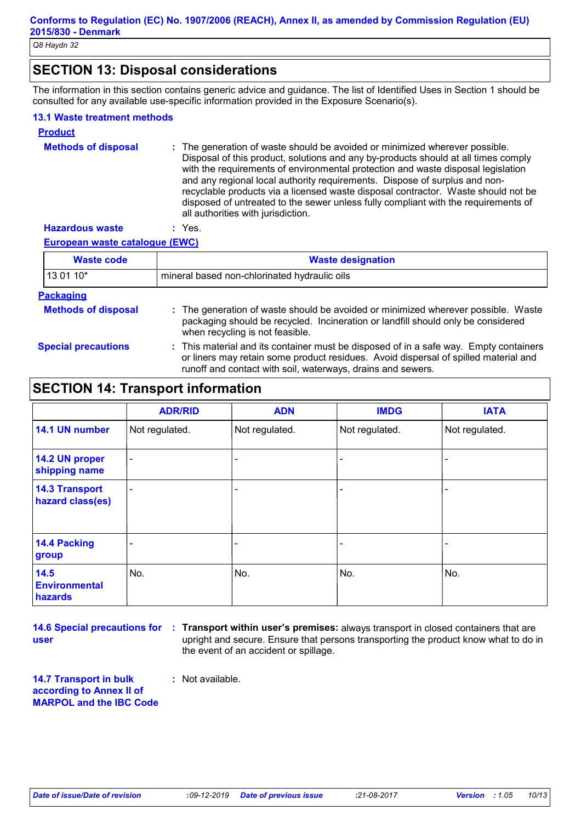# **SECTION 13: Disposal considerations**

The information in this section contains generic advice and guidance. The list of Identified Uses in Section 1 should be consulted for any available use-specific information provided in the Exposure Scenario(s).

### **13.1 Waste treatment methods**

| <b>Product</b>             |                                                                                                                                                                                                                                                                                                                                                                                                                                                                                                                                                      |
|----------------------------|------------------------------------------------------------------------------------------------------------------------------------------------------------------------------------------------------------------------------------------------------------------------------------------------------------------------------------------------------------------------------------------------------------------------------------------------------------------------------------------------------------------------------------------------------|
| <b>Methods of disposal</b> | : The generation of waste should be avoided or minimized wherever possible.<br>Disposal of this product, solutions and any by-products should at all times comply<br>with the requirements of environmental protection and waste disposal legislation<br>and any regional local authority requirements. Dispose of surplus and non-<br>recyclable products via a licensed waste disposal contractor. Waste should not be<br>disposed of untreated to the sewer unless fully compliant with the requirements of<br>all authorities with jurisdiction. |
| <b>Hazardous waste</b>     | Yes.                                                                                                                                                                                                                                                                                                                                                                                                                                                                                                                                                 |

### **European waste catalogue (EWC)**

| <b>Waste code</b>          | <b>Waste designation</b><br>mineral based non-chlorinated hydraulic oils                                                                                                                                                                    |  |  |  |
|----------------------------|---------------------------------------------------------------------------------------------------------------------------------------------------------------------------------------------------------------------------------------------|--|--|--|
| 13 01 10*                  |                                                                                                                                                                                                                                             |  |  |  |
| <b>Packaging</b>           |                                                                                                                                                                                                                                             |  |  |  |
| <b>Methods of disposal</b> | : The generation of waste should be avoided or minimized wherever possible. Waste<br>packaging should be recycled. Incineration or landfill should only be considered<br>when recycling is not feasible.                                    |  |  |  |
| <b>Special precautions</b> | : This material and its container must be disposed of in a safe way. Empty containers<br>or liners may retain some product residues. Avoid dispersal of spilled material and<br>runoff and contact with soil, waterways, drains and sewers. |  |  |  |

# **SECTION 14: Transport information**

|                                           | <b>ADR/RID</b>           | <b>ADN</b>     | <b>IMDG</b>              | <b>IATA</b>    |
|-------------------------------------------|--------------------------|----------------|--------------------------|----------------|
| 14.1 UN number                            | Not regulated.           | Not regulated. | Not regulated.           | Not regulated. |
| 14.2 UN proper<br>shipping name           | $\blacksquare$           |                |                          |                |
| <b>14.3 Transport</b><br>hazard class(es) | $\overline{\phantom{a}}$ | ۰              | $\overline{\phantom{0}}$ |                |
| 14.4 Packing<br>group                     |                          |                |                          |                |
| 14.5<br><b>Environmental</b><br>hazards   | No.                      | No.            | No.                      | No.            |

**user**

**14.6 Special precautions for : Transport within user's premises:** always transport in closed containers that are upright and secure. Ensure that persons transporting the product know what to do in the event of an accident or spillage.

**14.7 Transport in bulk according to Annex II of MARPOL and the IBC Code :** Not available.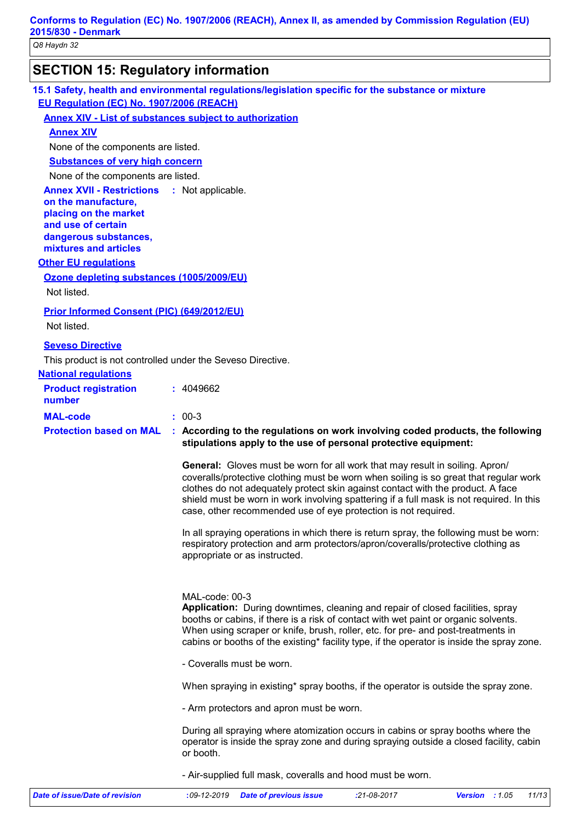# **SECTION 15: Regulatory information**

**15.1 Safety, health and environmental regulations/legislation specific for the substance or mixture EU Regulation (EC) No. 1907/2006 (REACH)**

### **Annex XIV - List of substances subject to authorization**

### **Annex XIV**

None of the components are listed.

**Substances of very high concern**

None of the components are listed.

**Annex XVII - Restrictions on the manufacture, placing on the market and use of certain dangerous substances, mixtures and articles** : Not applicable.

### **Other EU regulations**

### **Ozone depleting substances (1005/2009/EU)**

Not listed.

### **Prior Informed Consent (PIC) (649/2012/EU)**

Not listed.

### **Seveso Directive**

This product is not controlled under the Seveso Directive.

### **National regulations**

| <b>Product registration</b><br>number | : 4049662                                                             |
|---------------------------------------|-----------------------------------------------------------------------|
| <b>MAL-code</b>                       | $: 00-3$                                                              |
|                                       | <b>Protection based on MAL : According to the regulations on work</b> |

### involving coded products, the following **stipulations apply to the use of personal protective equipment:**

**General:** Gloves must be worn for all work that may result in soiling. Apron/ coveralls/protective clothing must be worn when soiling is so great that regular work clothes do not adequately protect skin against contact with the product. A face shield must be worn in work involving spattering if a full mask is not required. In this case, other recommended use of eye protection is not required.

In all spraying operations in which there is return spray, the following must be worn: respiratory protection and arm protectors/apron/coveralls/protective clothing as appropriate or as instructed.

### MAL-code: 00-3

**Application:** During downtimes, cleaning and repair of closed facilities, spray booths or cabins, if there is a risk of contact with wet paint or organic solvents. When using scraper or knife, brush, roller, etc. for pre- and post-treatments in cabins or booths of the existing\* facility type, if the operator is inside the spray zone.

- Coveralls must be worn.

When spraying in existing\* spray booths, if the operator is outside the spray zone.

- Arm protectors and apron must be worn.

During all spraying where atomization occurs in cabins or spray booths where the operator is inside the spray zone and during spraying outside a closed facility, cabin or booth.

- Air-supplied full mask, coveralls and hood must be worn.

| Date of issue/Date of revision | :09-12-2019 Date of previous issue | $:21-08-2017$ | <b>Version :</b> 1.05 | 11/13 |
|--------------------------------|------------------------------------|---------------|-----------------------|-------|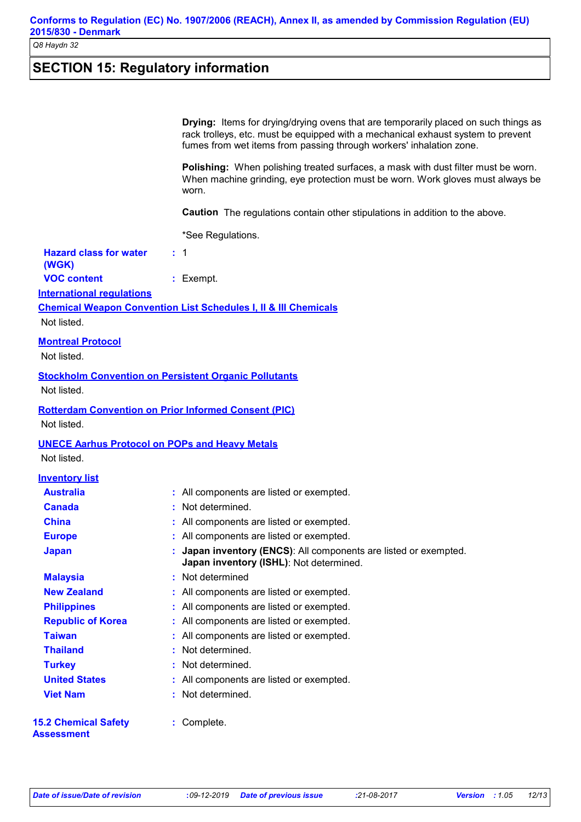# **SECTION 15: Regulatory information**

|                                                       | <b>Drying:</b> Items for drying/drying ovens that are temporarily placed on such things as<br>rack trolleys, etc. must be equipped with a mechanical exhaust system to prevent<br>fumes from wet items from passing through workers' inhalation zone. |
|-------------------------------------------------------|-------------------------------------------------------------------------------------------------------------------------------------------------------------------------------------------------------------------------------------------------------|
|                                                       | Polishing: When polishing treated surfaces, a mask with dust filter must be worn.<br>When machine grinding, eye protection must be worn. Work gloves must always be<br>worn.                                                                          |
|                                                       | <b>Caution</b> The regulations contain other stipulations in addition to the above.                                                                                                                                                                   |
|                                                       | *See Regulations.                                                                                                                                                                                                                                     |
| <b>Hazard class for water</b><br>(WGK)                | $\therefore$ 1                                                                                                                                                                                                                                        |
| <b>VOC content</b>                                    | : Exempt.                                                                                                                                                                                                                                             |
| <b>International regulations</b>                      |                                                                                                                                                                                                                                                       |
|                                                       | <b>Chemical Weapon Convention List Schedules I, II &amp; III Chemicals</b>                                                                                                                                                                            |
| Not listed.                                           |                                                                                                                                                                                                                                                       |
| <b>Montreal Protocol</b>                              |                                                                                                                                                                                                                                                       |
| Not listed.                                           |                                                                                                                                                                                                                                                       |
| Not listed.                                           | <b>Stockholm Convention on Persistent Organic Pollutants</b>                                                                                                                                                                                          |
| Not listed.                                           | <b>Rotterdam Convention on Prior Informed Consent (PIC)</b>                                                                                                                                                                                           |
| <b>UNECE Aarhus Protocol on POPs and Heavy Metals</b> |                                                                                                                                                                                                                                                       |
| Not listed.                                           |                                                                                                                                                                                                                                                       |
| <b>Inventory list</b>                                 |                                                                                                                                                                                                                                                       |
| <b>Australia</b>                                      | : All components are listed or exempted.                                                                                                                                                                                                              |
| <b>Canada</b>                                         | Not determined.                                                                                                                                                                                                                                       |
| <b>China</b>                                          | : All components are listed or exempted.                                                                                                                                                                                                              |
| <b>Europe</b>                                         | : All components are listed or exempted.                                                                                                                                                                                                              |
| <b>Japan</b>                                          | : Japan inventory (ENCS): All components are listed or exempted.<br>Japan inventory (ISHL): Not determined.                                                                                                                                           |
| <b>Malaysia</b>                                       | Not determined                                                                                                                                                                                                                                        |
| <b>New Zealand</b>                                    | : All components are listed or exempted.                                                                                                                                                                                                              |
| <b>Philippines</b>                                    | : All components are listed or exempted.                                                                                                                                                                                                              |
| <b>Republic of Korea</b>                              | : All components are listed or exempted.                                                                                                                                                                                                              |
| <b>Taiwan</b>                                         | All components are listed or exempted.                                                                                                                                                                                                                |
| <b>Thailand</b>                                       | Not determined.                                                                                                                                                                                                                                       |
| <b>Turkey</b>                                         | Not determined.                                                                                                                                                                                                                                       |
| <b>United States</b>                                  | : All components are listed or exempted.                                                                                                                                                                                                              |
| <b>Viet Nam</b>                                       | Not determined.                                                                                                                                                                                                                                       |
| <b>15.2 Chemical Safety</b><br>Assessment             | : Complete.                                                                                                                                                                                                                                           |